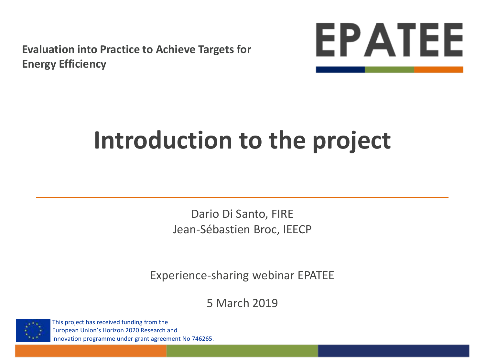**Evaluation into Practice to Achieve Targets for Energy Efficiency**



# **Introduction to the project**

Dario Di Santo, FIRE Jean-Sébastien Broc, IEECP

Experience-sharing webinar EPATEE

5 March 2019



This project has received funding from the European Union's Horizon 2020 Research and innovation programme under grant agreement No 746265.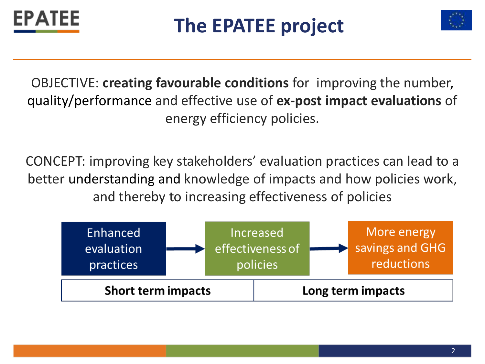



OBJECTIVE: **creating favourable conditions** for improving the number, quality/performance and effective use of **ex-post impact evaluations** of energy efficiency policies.

CONCEPT: improving key stakeholders' evaluation practices can lead to a better understanding and knowledge of impacts and how policies work, and thereby to increasing effectiveness of policies

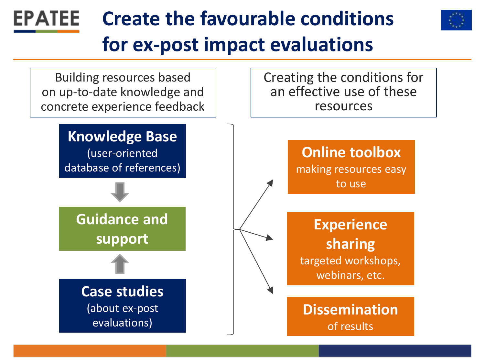#### **Create the favourable conditions EPATEE for ex-post impact evaluations**  Creating the conditions for Building resources based an effective use of these on up-to-date knowledge and concrete experience feedback resources**Knowledge Base Online toolbox** (user-oriented database of references) making resources easy

**Guidance and support**

> **Case studies** (about ex-post evaluations)

**Experience sharing**  targeted workshops, webinars, etc.

to use

**Dissemination** of results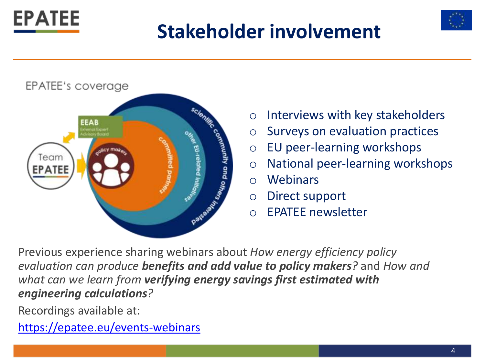## **Stakeholder involvement**





- o Interviews with key stakeholders
- o Surveys on evaluation practices
- o EU peer-learning workshops
- o National peer-learning workshops
- o Webinars
- o Direct support
- o EPATEE newsletter

Previous experience sharing webinars about *How energy efficiency policy evaluation can produce benefits and add value to policy makers?* and *How and what can we learn from verifying energy savings first estimated with engineering calculations?*

Recordings available at:

**EPATEE** 

<https://epatee.eu/events-webinars>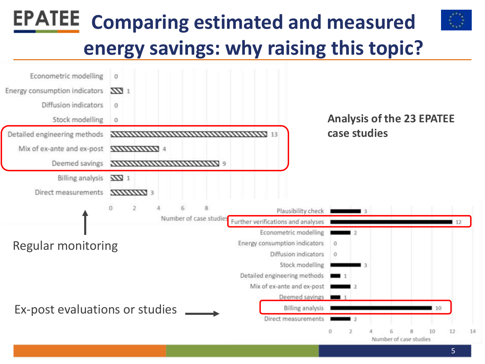## **EPATEE Comparing estimated and measured energy savings: why raising this topic?**

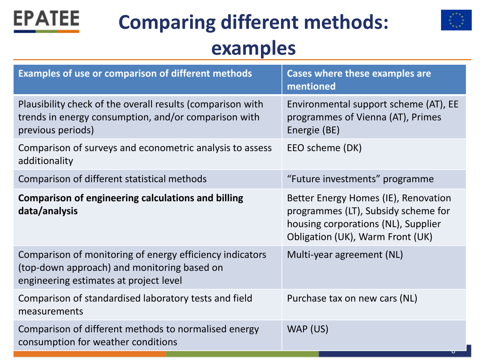

## **Comparing different methods: examples**



| <b>Examples of use or comparison of different methods</b>                                                                                         | <b>Cases where these examples are</b><br>mentioned                                                                                                     |
|---------------------------------------------------------------------------------------------------------------------------------------------------|--------------------------------------------------------------------------------------------------------------------------------------------------------|
| Plausibility check of the overall results (comparison with<br>trends in energy consumption, and/or comparison with<br>previous periods)           | Environmental support scheme (AT), EE<br>programmes of Vienna (AT), Primes<br>Energie (BE)                                                             |
| Comparison of surveys and econometric analysis to assess<br>additionality                                                                         | EEO scheme (DK)                                                                                                                                        |
| Comparison of different statistical methods                                                                                                       | "Future investments" programme                                                                                                                         |
| <b>Comparison of engineering calculations and billing</b><br>data/analysis                                                                        | Better Energy Homes (IE), Renovation<br>programmes (LT), Subsidy scheme for<br>housing corporations (NL), Supplier<br>Obligation (UK), Warm Front (UK) |
| Comparison of monitoring of energy efficiency indicators<br>(top-down approach) and monitoring based on<br>engineering estimates at project level | Multi-year agreement (NL)                                                                                                                              |
| Comparison of standardised laboratory tests and field<br>measurements                                                                             | Purchase tax on new cars (NL)                                                                                                                          |
| Comparison of different methods to normalised energy<br>consumption for weather conditions                                                        | WAP (US)                                                                                                                                               |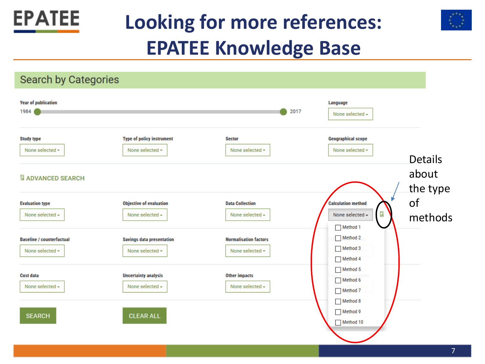

## **Looking for more references: EPATEE Knowledge Base**



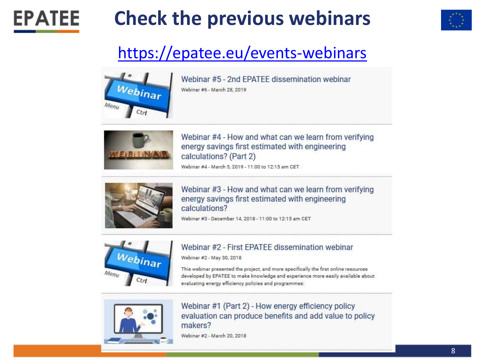



### <https://epatee.eu/events-webinars>



**EPATEE** 

Webinar #5 - 2nd FPATFF dissemination webinar Webinar #6 - March 28, 2019



Webinar #4 - How and what can we learn from verifying energy savings first estimated with engineering calculations? (Part 2)

Webinar #4 - March 5, 2019 - 11:00 to 12:15 am CET



Webinar #3 - How and what can we learn from verifying energy savings first estimated with engineering calculations?

Webinar #3 - December 14, 2018 - 11:00 to 12:15 am CET



#### Webinar #2 - First EPATEE dissemination webinar

Webinar #2 - May 30, 2018

This webinar presented the project, and more specifically the first online resources developed by EPATEE to make knowledge and experience more easily available about evaluating energy efficiency policies and programmes:



Webinar #1 (Part 2) - How energy efficiency policy evaluation can produce benefits and add value to policy makers?

Webinar #2 - March 20, 2018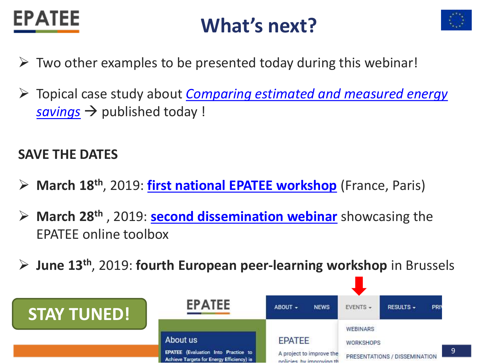

### **What's next?**



- $\triangleright$  Two other examples to be presented today during this webinar!
- Topical case study about *[Comparing estimated and measured energy](https://epatee.eu/sites/default/files/files/epatee_topical_case_study_linkage_between_monitoring_and_evaluation.pdf)*   $savings \rightarrow$  published today !

### **SAVE THE DATES**

- **March 18th**, 2019: **[first national EPATEE workshop](https://epatee.eu/events/1st-epatee-national-peer-learning-workshop-paris-evaluation-energy-efficiency-policies-fact)** (France, Paris)
- **March 28th** , 2019: **[second dissemination webinar](https://epatee.eu/events/webinar-5-2nd-epatee-dissemination-webinar)** showcasing the EPATEE online toolbox
- **June 13th**, 2019: **fourth European peer-learning workshop** in Brussels